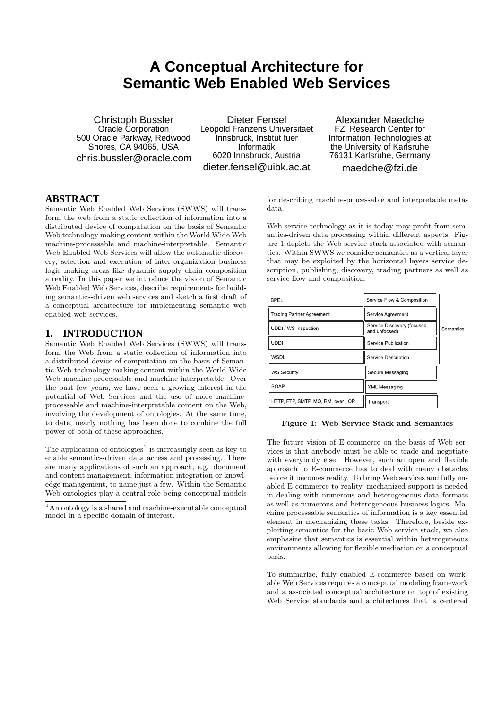# **A Conceptual Architecture for Semantic Web Enabled Web Services**

Christoph Bussler Oracle Corporation 500 Oracle Parkway, Redwood Shores, CA 94065, USA chris.bussler@oracle.com

Dieter Fensel Leopold Franzens Universitaet Innsbruck, Institut fuer Informatik 6020 Innsbruck, Austria dieter.fensel@uibk.ac.at

Alexander Maedche FZI Research Center for Information Technologies at the University of Karlsruhe 76131 Karlsruhe, Germany maedche@fzi.de

## **ABSTRACT**

Semantic Web Enabled Web Services (SWWS) will transform the web from a static collection of information into a distributed device of computation on the basis of Semantic Web technology making content within the World Wide Web machine-processable and machine-interpretable. Semantic Web Enabled Web Services will allow the automatic discovery, selection and execution of inter-organization business logic making areas like dynamic supply chain composition a reality. In this paper we introduce the vision of Semantic Web Enabled Web Services, describe requirements for building semantics-driven web services and sketch a first draft of a conceptual architecture for implementing semantic web enabled web services.

## **1. INTRODUCTION**

Semantic Web Enabled Web Services (SWWS) will transform the Web from a static collection of information into a distributed device of computation on the basis of Semantic Web technology making content within the World Wide Web machine-processable and machine-interpretable. Over the past few years, we have seen a growing interest in the potential of Web Services and the use of more machineprocessable and machine-interpretable content on the Web, involving the development of ontologies. At the same time, to date, nearly nothing has been done to combine the full power of both of these approaches.

The application of ontologies<sup>1</sup> is increasingly seen as key to enable semantics-driven data access and processing. There are many applications of such an approach, e.g. document and content management, information integration or knowledge management, to name just a few. Within the Semantic Web ontologies play a central role being conceptual models for describing machine-processable and interpretable metadata.

Web service technology as it is today may profit from semantics-driven data processing within different aspects. Figure 1 depicts the Web service stack associated with semantics. Within SWWS we consider semantics as a vertical layer that may be exploited by the horizontal layers service description, publishing, discovery, trading partners as well as service flow and composition.

| <b>BPEL</b>                        | Service Flow & Composition                  |           |
|------------------------------------|---------------------------------------------|-----------|
| <b>Trading Partner Agreement</b>   | Service Agreement                           |           |
| UDDI / WS Inspection               | Service Discovery (focused<br>and unfocsed) | Semantics |
| <b>UDDI</b>                        | Service Publication                         |           |
| WSDL                               | Service Description                         |           |
| <b>WS Security</b>                 | Secure Messaging                            |           |
| SOAP                               | <b>XML Messaging</b>                        |           |
| HTTP, FTP, SMTP, MQ, RMI over IIOP | Transport                                   |           |

#### **Figure 1: Web Service Stack and Semantics**

The future vision of E-commerce on the basis of Web services is that anybody must be able to trade and negotiate with everybody else. However, such an open and flexible approach to E-commerce has to deal with many obstacles before it becomes reality. To bring Web services and fully enabled E-commerce to reality, mechanized support is needed in dealing with numerous and heterogeneous data formats as well as numerous and heterogeneous business logics. Machine processable semantics of information is a key essential element in mechanizing these tasks. Therefore, beside exploiting semantics for the basic Web service stack, we also emphasize that semantics is essential within heterogeneous environments allowing for flexible mediation on a conceptual basis.

To summarize, fully enabled E-commerce based on workable Web Services requires a conceptual modeling framework and a associated conceptual architecture on top of existing Web Service standards and architectures that is centered

 $^{\rm 1}{\rm An}$  ontology is a shared and machine-executable conceptual model in a specific domain of interest.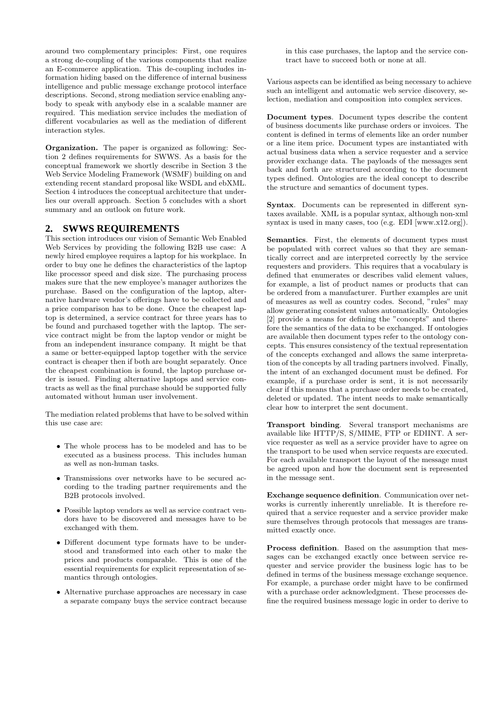around two complementary principles: First, one requires a strong de-coupling of the various components that realize an E-commerce application. This de-coupling includes information hiding based on the difference of internal business intelligence and public message exchange protocol interface descriptions. Second, strong mediation service enabling anybody to speak with anybody else in a scalable manner are required. This mediation service includes the mediation of different vocabularies as well as the mediation of different interaction styles.

**Organization.** The paper is organized as following: Section 2 defines requirements for SWWS. As a basis for the conceptual framework we shortly describe in Section 3 the Web Service Modeling Framework (WSMF) building on and extending recent standard proposal like WSDL and ebXML. Section 4 introduces the conceptual architecture that underlies our overall approach. Section 5 concludes with a short summary and an outlook on future work.

## **2. SWWS REQUIREMENTS**

This section introduces our vision of Semantic Web Enabled Web Services by providing the following B2B use case: A newly hired employee requires a laptop for his workplace. In order to buy one he defines the characteristics of the laptop like processor speed and disk size. The purchasing process makes sure that the new employee's manager authorizes the purchase. Based on the configuration of the laptop, alternative hardware vendor's offerings have to be collected and a price comparison has to be done. Once the cheapest laptop is determined, a service contract for three years has to be found and purchased together with the laptop. The service contract might be from the laptop vendor or might be from an independent insurance company. It might be that a same or better-equipped laptop together with the service contract is cheaper then if both are bought separately. Once the cheapest combination is found, the laptop purchase order is issued. Finding alternative laptops and service contracts as well as the final purchase should be supported fully automated without human user involvement.

The mediation related problems that have to be solved within this use case are:

- *•* The whole process has to be modeled and has to be executed as a business process. This includes human as well as non-human tasks.
- *•* Transmissions over networks have to be secured according to the trading partner requirements and the B2B protocols involved.
- *•* Possible laptop vendors as well as service contract vendors have to be discovered and messages have to be exchanged with them.
- *•* Different document type formats have to be understood and transformed into each other to make the prices and products comparable. This is one of the essential requirements for explicit representation of semantics through ontologies.
- *•* Alternative purchase approaches are necessary in case a separate company buys the service contract because

in this case purchases, the laptop and the service contract have to succeed both or none at all.

Various aspects can be identified as being necessary to achieve such an intelligent and automatic web service discovery, selection, mediation and composition into complex services.

**Document types**. Document types describe the content of business documents like purchase orders or invoices. The content is defined in terms of elements like an order number or a line item price. Document types are instantiated with actual business data when a service requester and a service provider exchange data. The payloads of the messages sent back and forth are structured according to the document types defined. Ontologies are the ideal concept to describe the structure and semantics of document types.

**Syntax**. Documents can be represented in different syntaxes available. XML is a popular syntax, although non-xml syntax is used in many cases, too (e.g. EDI [www.x12.org]).

Semantics. First, the elements of document types must be populated with correct values so that they are semantically correct and are interpreted correctly by the service requesters and providers. This requires that a vocabulary is defined that enumerates or describes valid element values, for example, a list of product names or products that can be ordered from a manufacturer. Further examples are unit of measures as well as country codes. Second, "rules" may allow generating consistent values automatically. Ontologies [2] provide a means for defining the "concepts" and therefore the semantics of the data to be exchanged. If ontologies are available then document types refer to the ontology concepts. This ensures consistency of the textual representation of the concepts exchanged and allows the same interpretation of the concepts by all trading partners involved. Finally, the intent of an exchanged document must be defined. For example, if a purchase order is sent, it is not necessarily clear if this means that a purchase order needs to be created, deleted or updated. The intent needs to make semantically clear how to interpret the sent document.

**Transport binding**. Several transport mechanisms are available like HTTP/S, S/MIME, FTP or EDIINT. A service requester as well as a service provider have to agree on the transport to be used when service requests are executed. For each available transport the layout of the message must be agreed upon and how the document sent is represented in the message sent.

**Exchange sequence definition**. Communication over networks is currently inherently unreliable. It is therefore required that a service requester and a service provider make sure themselves through protocols that messages are transmitted exactly once.

**Process definition**. Based on the assumption that messages can be exchanged exactly once between service requester and service provider the business logic has to be defined in terms of the business message exchange sequence. For example, a purchase order might have to be confirmed with a purchase order acknowledgment. These processes define the required business message logic in order to derive to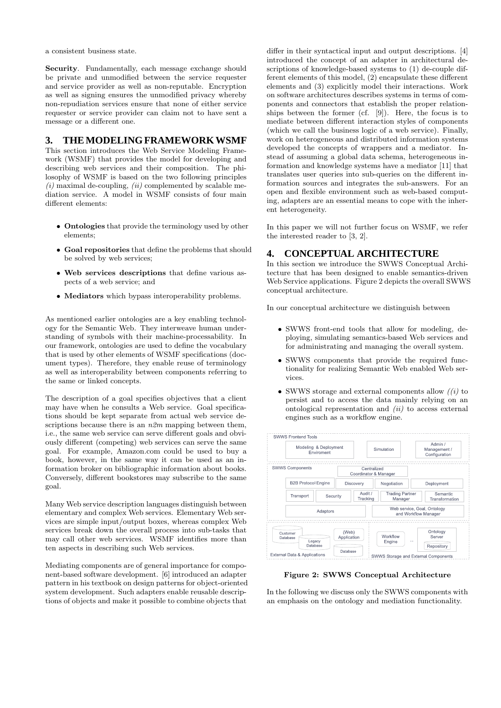a consistent business state.

**Security**. Fundamentally, each message exchange should be private and unmodified between the service requester and service provider as well as non-reputable. Encryption as well as signing ensures the unmodified privacy whereby non-repudiation services ensure that none of either service requester or service provider can claim not to have sent a message or a different one.

#### **3. THE MODELING FRAMEWORK WSMF**

This section introduces the Web Service Modeling Framework (WSMF) that provides the model for developing and describing web services and their composition. The philosophy of WSMF is based on the two following principles *(i)* maximal de-coupling, *(ii)* complemented by scalable mediation service. A model in WSMF consists of four main different elements:

- *•* **Ontologies** that provide the terminology used by other elements;
- *•* **Goal repositories** that define the problems that should be solved by web services;
- *•* **Web services descriptions** that define various aspects of a web service; and
- *•* **Mediators** which bypass interoperability problems.

As mentioned earlier ontologies are a key enabling technology for the Semantic Web. They interweave human understanding of symbols with their machine-processability. In our framework, ontologies are used to define the vocabulary that is used by other elements of WSMF specifications (document types). Therefore, they enable reuse of terminology as well as interoperability between components referring to the same or linked concepts.

The description of a goal specifies objectives that a client may have when he consults a Web service. Goal specifications should be kept separate from actual web service descriptions because there is an *n2m* mapping between them, i.e., the same web service can serve different goals and obviously different (competing) web services can serve the same goal. For example, Amazon.com could be used to buy a book, however, in the same way it can be used as an information broker on bibliographic information about books. Conversely, different bookstores may subscribe to the same goal.

Many Web service description languages distinguish between elementary and complex Web services. Elementary Web services are simple input/output boxes, whereas complex Web services break down the overall process into sub-tasks that may call other web services. WSMF identifies more than ten aspects in describing such Web services.

Mediating components are of general importance for component-based software development. [6] introduced an adapter pattern in his textbook on design patterns for object-oriented system development. Such adapters enable reusable descriptions of objects and make it possible to combine objects that

differ in their syntactical input and output descriptions. [4] introduced the concept of an adapter in architectural descriptions of knowledge-based systems to (1) de-couple different elements of this model, (2) encapsulate these different elements and (3) explicitly model their interactions. Work on software architectures describes systems in terms of components and connectors that establish the proper relationships between the former (cf. [9]). Here, the focus is to mediate between different interaction styles of components (which we call the business logic of a web service). Finally, work on heterogeneous and distributed information systems developed the concepts of wrappers and a mediator. Instead of assuming a global data schema, heterogeneous information and knowledge systems have a mediator [11] that translates user queries into sub-queries on the different information sources and integrates the sub-answers. For an open and flexible environment such as web-based computing, adapters are an essential means to cope with the inherent heterogeneity.

In this paper we will not further focus on WSMF, we refer the interested reader to [3, 2].

### **4. CONCEPTUAL ARCHITECTURE**

In this section we introduce the SWWS Conceptual Architecture that has been designed to enable semantics-driven Web Service applications. Figure 2 depicts the overall SWWS conceptual architecture.

In our conceptual architecture we distinguish between

- *•* SWWS front-end tools that allow for modeling, deploying, simulating semantics-based Web services and for administrating and managing the overall system.
- *•* SWWS components that provide the required functionality for realizing Semantic Web enabled Web services.
- *•* SWWS storage and external components allow *((i)* to persist and to access the data mainly relying on an ontological representation and *(ii)* to access external engines such as a workflow engine.



**Figure 2: SWWS Conceptual Architecture**

In the following we discuss only the SWWS components with an emphasis on the ontology and mediation functionality.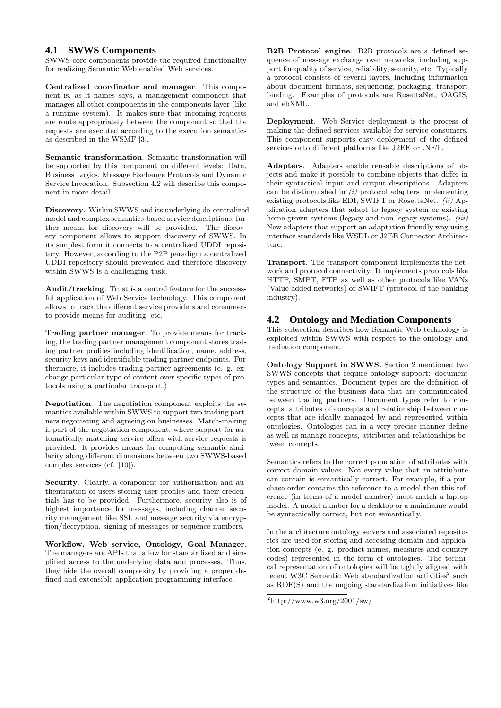## **4.1 SWWS Components**

SWWS core components provide the required functionality for realizing Semantic Web enabled Web services.

**Centralized coordinator and manager**. This component is, as it names says, a management component that manages all other components in the components layer (like a runtime system). It makes sure that incoming requests are route appropriately between the component so that the requests are executed according to the execution semantics as described in the WSMF [3].

**Semantic transformation**. Semantic transformation will be supported by this component on different levels: Data, Business Logics, Message Exchange Protocols and Dynamic Service Invocation. Subsection 4.2 will describe this component in more detail.

**Discovery**. Within SWWS and its underlying de-centralized model and complex semantics-based service descriptions, further means for discovery will be provided. The discovery component allows to support discovery of SWWS. In its simplest form it connects to a centralized UDDI repository. However, according to the P2P paradigm a centralized UDDI repository should prevented and therefore discovery within SWWS is a challenging task.

**Audit/tracking**. Trust is a central feature for the successful application of Web Service technology. This component allows to track the different service providers and consumers to provide means for auditing, etc.

**Trading partner manager**. To provide means for tracking, the trading partner management component stores trading partner profiles including identification, name, address, security keys and identifiable trading partner endpoints. Furthermore, it includes trading partner agreements (e. g. exchange particular type of content over specific types of protocols using a particular transport.)

**Negotiation**. The negotiation component exploits the semantics available within SWWS to support two trading partners negotiating and agreeing on businesses. Match-making is part of the negotiation component, where support for automatically matching service offers with service requests is provided. It provides means for computing semantic similarity along different dimensions between two SWWS-based complex services (cf. [10]).

**Security**. Clearly, a component for authorization and authentication of users storing user profiles and their credentials has to be provided. Furthermore, security also is of highest importance for messages, including channel security management like SSL and message security via encryption/decryption, signing of messages or sequence numbers.

**Workflow, Web service, Ontology, Goal Manager**. The managers are APIs that allow for standardized and simplified access to the underlying data and processes. Thus, they hide the overall complexity by providing a proper defined and extensible application programming interface.

**B2B Protocol engine**. B2B protocols are a defined sequence of message exchange over networks, including support for quality of service, reliability, security, etc. Typically a protocol consists of several layers, including information about document formats, sequencing, packaging, transport binding. Examples of protocols are RosettaNet, OAGIS, and ebXML.

**Deployment**. Web Service deployment is the process of making the defined services available for service consumers. This component supports easy deployment of the defined services onto different platforms like J2EE or .NET.

**Adapters**. Adapters enable reusable descriptions of objects and make it possible to combine objects that differ in their syntactical input and output descriptions. Adapters can be distinguished in *(i)* protocol adapters implementing existing protocols like EDI, SWIFT or RosettaNet. *(ii)* Application adapters that adapt to legacy system or existing home-grown systems (legacy and non-legacy systems). *(iii)* New adapters that support an adaptation friendly way using interface standards like WSDL or J2EE Connector Architecture.

**Transport**. The transport component implements the network and protocol connectivity. It implements protocols like HTTP, SMPT, FTP as well as other protocols like VANs (Value added networks) or SWIFT (protocol of the banking industry).

## **4.2 Ontology and Mediation Components**

This subsection describes how Semantic Web technology is exploited within SWWS with respect to the ontology and mediation component.

**Ontology Support in SWWS.** Section 2 mentioned two SWWS concepts that require ontology support: document types and semantics. Document types are the definition of the structure of the business data that are communicated between trading partners. Document types refer to concepts, attributes of concepts and relationship between concepts that are ideally managed by and represented within ontologies. Ontologies can in a very precise manner define as well as manage concepts, attributes and relationships between concepts.

Semantics refers to the correct population of attributes with correct domain values. Not every value that an attriubute can contain is semantically correct. For example, if a purchase order contains the reference to a model then this reference (in terms of a model number) must match a laptop model. A model number for a desktop or a mainframe would be syntactically correct, but not semantically.

In the architecture ontology servers and associated repositories are used for storing and accessing domain and application concepts (e. g. product names, measures and country codes) represented in the form of ontologies. The technical representation of ontologies will be tightly aligned with  $recent$  W3C Semantic Web standardization activities<sup>2</sup> such as RDF(S) and the ongoing standardization initiatives like

 $^2$ http://www.w3.org/2001/sw/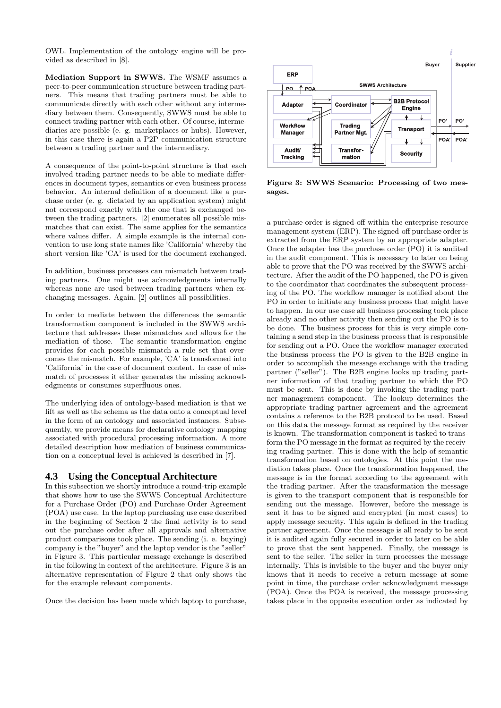OWL. Implementation of the ontology engine will be provided as described in [8].

**Mediation Support in SWWS.** The WSMF assumes a peer-to-peer communication structure between trading partners. This means that trading partners must be able to communicate directly with each other without any intermediary between them. Consequently, SWWS must be able to connect trading partner with each other. Of course, intermediaries are possible (e. g. marketplaces or hubs). However, in this case there is again a P2P communication structure between a trading partner and the intermediary.

A consequence of the point-to-point structure is that each involved trading partner needs to be able to mediate differences in document types, semantics or even business process behavior. An internal definition of a document like a purchase order (e. g. dictated by an application system) might not correspond exactly with the one that is exchanged between the trading partners. [2] enumerates all possible mismatches that can exist. The same applies for the semantics where values differ. A simple example is the internal convention to use long state names like 'California' whereby the short version like 'CA' is used for the document exchanged.

In addition, business processes can mismatch between trading partners. One might use acknowledgments internally whereas none are used between trading partners when exchanging messages. Again, [2] outlines all possibilities.

In order to mediate between the differences the semantic transformation component is included in the SWWS architecture that addresses these mismatches and allows for the mediation of those. The semantic transformation engine provides for each possible mismatch a rule set that overcomes the mismatch. For example, 'CA' is transformed into 'California' in the case of document content. In case of mismatch of processes it either generates the missing acknowledgments or consumes superfluous ones.

The underlying idea of ontology-based mediation is that we lift as well as the schema as the data onto a conceptual level in the form of an ontology and associated instances. Subsequently, we provide means for declarative ontology mapping associated with procedural processing information. A more detailed description how mediation of business communication on a conceptual level is achieved is described in [7].

#### **4.3 Using the Conceptual Architecture**

In this subsection we shortly introduce a round-trip example that shows how to use the SWWS Conceptual Architecture for a Purchase Order (PO) and Purchase Order Agreement (POA) use case. In the laptop purchasing use case described in the beginning of Section 2 the final activity is to send out the purchase order after all approvals and alternative product comparisons took place. The sending (i. e. buying) company is the "buyer" and the laptop vendor is the "seller" in Figure 3. This particular message exchange is described in the following in context of the architecture. Figure 3 is an alternative representation of Figure 2 that only shows the for the example relevant components.

Once the decision has been made which laptop to purchase,



**Figure 3: SWWS Scenario: Processing of two messages.**

a purchase order is signed-off within the enterprise resource management system (ERP). The signed-off purchase order is extracted from the ERP system by an appropriate adapter. Once the adapter has the purchase order (PO) it is audited in the audit component. This is necessary to later on being able to prove that the PO was received by the SWWS architecture. After the audit of the PO happened, the PO is given to the coordinator that coordinates the subsequent processing of the PO. The workflow manager is notified about the PO in order to initiate any business process that might have to happen. In our use case all business processing took place already and no other activity then sending out the PO is to be done. The business process for this is very simple containing a send step in the business process that is responsible for sending out a PO. Once the workflow manager executed the business process the PO is given to the B2B engine in order to accomplish the message exchange with the trading partner ("seller"). The B2B engine looks up trading partner information of that trading partner to which the PO must be sent. This is done by invoking the trading partner management component. The lookup determines the appropriate trading partner agreement and the agreement contains a reference to the B2B protocol to be used. Based on this data the message format as required by the receiver is known. The transformation component is tasked to transform the PO message in the format as required by the receiving trading partner. This is done with the help of semantic transformation based on ontologies. At this point the mediation takes place. Once the transformation happened, the message is in the format according to the agreement with the trading partner. After the transformation the message is given to the transport component that is responsible for sending out the message. However, before the message is sent it has to be signed and encrypted (in most cases) to apply message security. This again is defined in the trading partner agreement. Once the message is all ready to be sent it is audited again fully secured in order to later on be able to prove that the sent happened. Finally, the message is sent to the seller. The seller in turn processes the message internally. This is invisible to the buyer and the buyer only knows that it needs to receive a return message at some point in time, the purchase order acknowledgment message (POA). Once the POA is received, the message processing takes place in the opposite execution order as indicated by